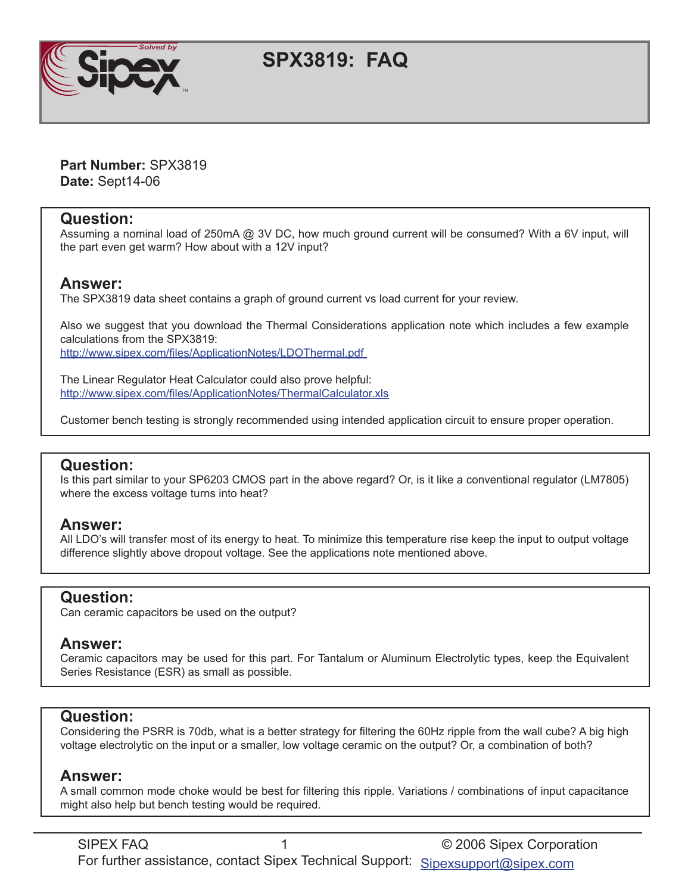

# **SPX3819: FAQ**

**Part Number:** SPX3819 **Date:** Sept14-06

#### **Question:**

Assuming a nominal load of 250mA @ 3V DC, how much ground current will be consumed? With a 6V input, will the part even get warm? How about with a 12V input?

#### **Answer:**

The SPX3819 data sheet contains a graph of ground current vs load current for your review.

Also we suggest that you download the Thermal Considerations application note which includes a few example calculations from the SPX3819: http://www.sipex.com/files/ApplicationNotes/LDOThermal.pdf

The Linear Regulator Heat Calculator could also prove helpful: [http://www.sipex.com/files/ApplicationNotes/ThermalCalculator.xl](http://www.sipex.com/files/ApplicationNotes/ThermalCalculator.xls)s

Customer bench testing is strongly recommended using intended application circuit to ensure proper operation.

# **Question:**

Is this part similar to your SP6203 CMOS part in the above regard? Or, is it like a conventional regulator (LM7805) where the excess voltage turns into heat?

#### **Answer:**

All LDO's will transfer most of its energy to heat. To minimize this temperature rise keep the input to output voltage difference slightly above dropout voltage. See the applications note mentioned above.

#### **Question:**

Can ceramic capacitors be used on the output?

# **Answer:**

Ceramic capacitors may be used for this part. For Tantalum or Aluminum Electrolytic types, keep the Equivalent Series Resistance (ESR) as small as possible.

# **Question:**

Considering the PSRR is 70db, what is a better strategy for filtering the 60Hz ripple from the wall cube? A big high voltage electrolytic on the input or a smaller, low voltage ceramic on the output? Or, a combination of both?

# **Answer:**

A small common mode choke would be best for filtering this ripple. Variations / combinations of input capacitance might also help but bench testing would be required.

SIPEX FAQ 1 1 2006 Sipex Corporation For further assistance, contact Sipex Technical Support: [Sipexsupport@sipex.com](http://www.sipex.com/content.aspx?p=support)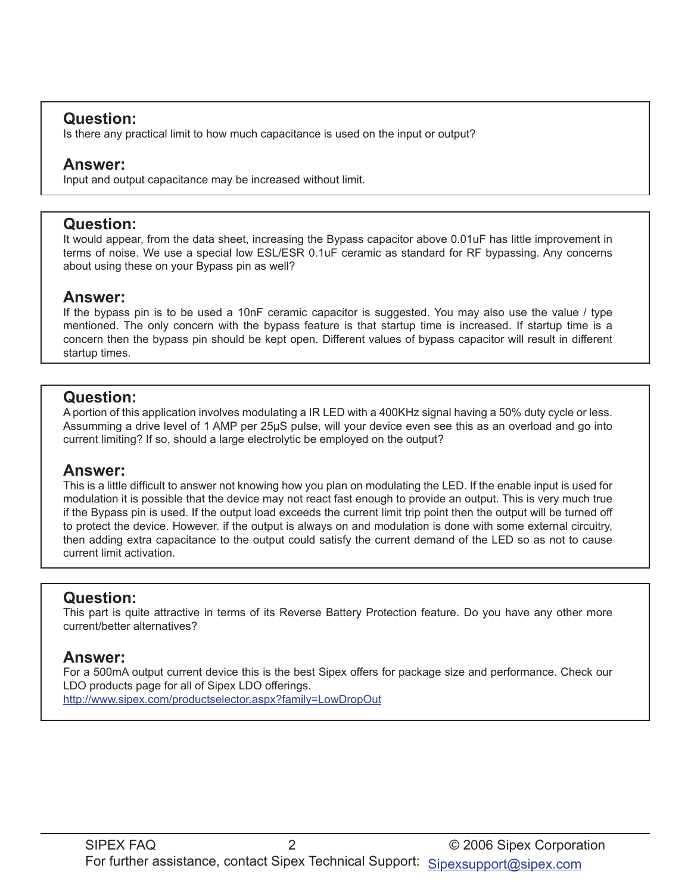# **Question:**

Is there any practical limit to how much capacitance is used on the input or output?

### **Answer:**

Input and output capacitance may be increased without limit.

#### **Question:**

It would appear, from the data sheet, increasing the Bypass capacitor above 0.01uF has little improvement in terms of noise. We use a special low ESL/ESR 0.1uF ceramic as standard for RF bypassing. Any concerns about using these on your Bypass pin as well?

#### **Answer:**

If the bypass pin is to be used a 10nF ceramic capacitor is suggested. You may also use the value / type mentioned. The only concern with the bypass feature is that startup time is increased. If startup time is a concern then the bypass pin should be kept open. Different values of bypass capacitor will result in different startup times.

# **Question:**

A portion of this application involves modulating a IR LED with a 400KHz signal having a 50% duty cycle or less. Assumming a drive level of 1 AMP per 25µS pulse, will your device even see this as an overload and go into current limiting? If so, should a large electrolytic be employed on the output?

# **Answer:**

This is a little difficult to answer not knowing how you plan on modulating the LED. If the enable input is used for modulation it is possible that the device may not react fast enough to provide an output. This is very much true if the Bypass pin is used. If the output load exceeds the current limit trip point then the output will be turned off to protect the device. However. if the output is always on and modulation is done with some external circuitry, then adding extra capacitance to the output could satisfy the current demand of the LED so as not to cause current limit activation.

# **Question:**

This part is quite attractive in terms of its Reverse Battery Protection feature. Do you have any other more current/better alternatives?

# **Answer:**

For a 500mA output current device this is the best Sipex offers for package size and performance. Check our LDO products page for all of Sipex LDO offerings.

[http://www.sipex.com/productselector.aspx?family=LowDropOu](http://www.sipex.com/productselector.aspx?family=LowDropOut)t